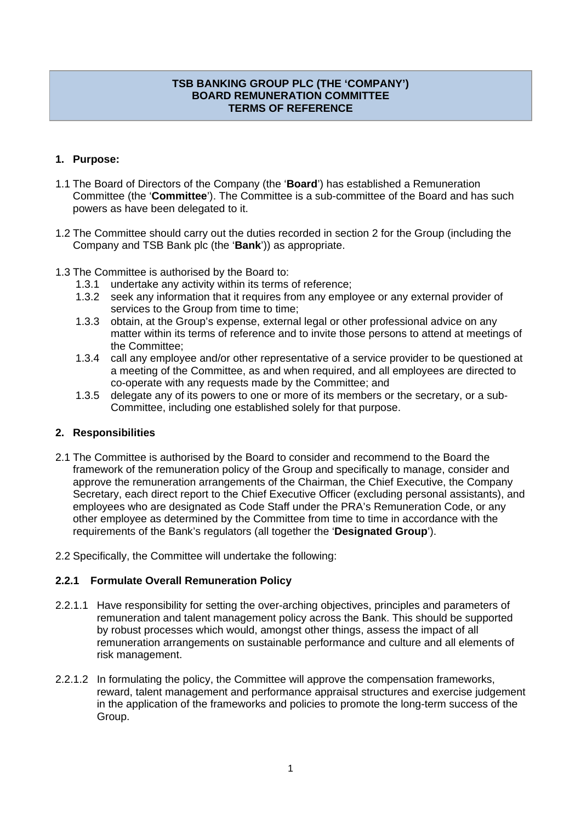## **TSB BANKING GROUP PLC (THE 'COMPANY') BOARD REMUNERATION COMMITTEE TERMS OF REFERENCE**

# **1. Purpose:**

- 1.1 The Board of Directors of the Company (the '**Board**') has established a Remuneration Committee (the '**Committee**'). The Committee is a sub-committee of the Board and has such powers as have been delegated to it.
- 1.2 The Committee should carry out the duties recorded in section 2 for the Group (including the Company and TSB Bank plc (the '**Bank**')) as appropriate.
- 1.3 The Committee is authorised by the Board to:
	- 1.3.1 undertake any activity within its terms of reference;
	- 1.3.2 seek any information that it requires from any employee or any external provider of services to the Group from time to time;
	- 1.3.3 obtain, at the Group's expense, external legal or other professional advice on any matter within its terms of reference and to invite those persons to attend at meetings of the Committee;
	- 1.3.4 call any employee and/or other representative of a service provider to be questioned at a meeting of the Committee, as and when required, and all employees are directed to co-operate with any requests made by the Committee; and
	- 1.3.5 delegate any of its powers to one or more of its members or the secretary, or a sub-Committee, including one established solely for that purpose.

## **2. Responsibilities**

- 2.1 The Committee is authorised by the Board to consider and recommend to the Board the framework of the remuneration policy of the Group and specifically to manage, consider and approve the remuneration arrangements of the Chairman, the Chief Executive, the Company Secretary, each direct report to the Chief Executive Officer (excluding personal assistants), and employees who are designated as Code Staff under the PRA's Remuneration Code, or any other employee as determined by the Committee from time to time in accordance with the requirements of the Bank's regulators (all together the '**Designated Group**').
- 2.2 Specifically, the Committee will undertake the following:

## **2.2.1 Formulate Overall Remuneration Policy**

- 2.2.1.1 Have responsibility for setting the over-arching objectives, principles and parameters of remuneration and talent management policy across the Bank. This should be supported by robust processes which would, amongst other things, assess the impact of all remuneration arrangements on sustainable performance and culture and all elements of risk management.
- 2.2.1.2 In formulating the policy, the Committee will approve the compensation frameworks, reward, talent management and performance appraisal structures and exercise judgement in the application of the frameworks and policies to promote the long-term success of the Group.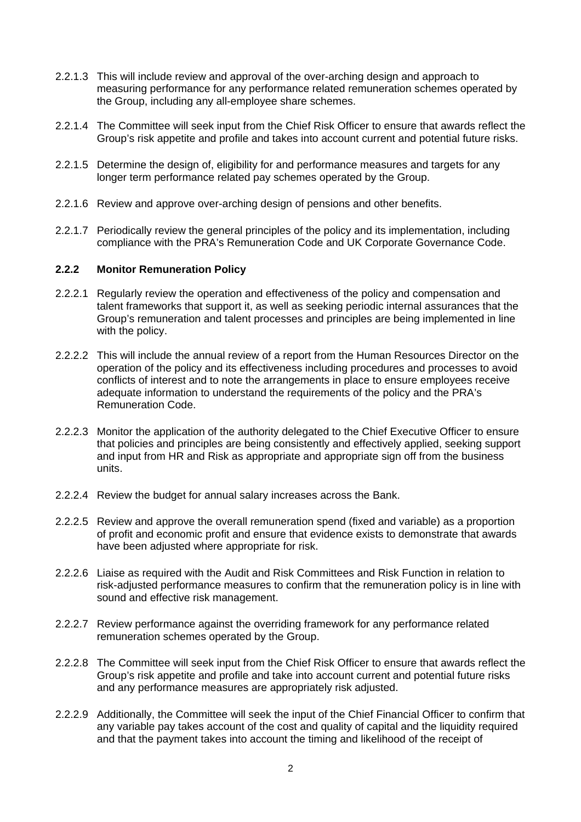- 2.2.1.3 This will include review and approval of the over-arching design and approach to measuring performance for any performance related remuneration schemes operated by the Group, including any all-employee share schemes.
- 2.2.1.4 The Committee will seek input from the Chief Risk Officer to ensure that awards reflect the Group's risk appetite and profile and takes into account current and potential future risks.
- 2.2.1.5 Determine the design of, eligibility for and performance measures and targets for any longer term performance related pay schemes operated by the Group.
- 2.2.1.6 Review and approve over-arching design of pensions and other benefits.
- 2.2.1.7 Periodically review the general principles of the policy and its implementation, including compliance with the PRA's Remuneration Code and UK Corporate Governance Code.

#### **2.2.2 Monitor Remuneration Policy**

- 2.2.2.1 Regularly review the operation and effectiveness of the policy and compensation and talent frameworks that support it, as well as seeking periodic internal assurances that the Group's remuneration and talent processes and principles are being implemented in line with the policy.
- 2.2.2.2 This will include the annual review of a report from the Human Resources Director on the operation of the policy and its effectiveness including procedures and processes to avoid conflicts of interest and to note the arrangements in place to ensure employees receive adequate information to understand the requirements of the policy and the PRA's Remuneration Code.
- 2.2.2.3 Monitor the application of the authority delegated to the Chief Executive Officer to ensure that policies and principles are being consistently and effectively applied, seeking support and input from HR and Risk as appropriate and appropriate sign off from the business units.
- 2.2.2.4 Review the budget for annual salary increases across the Bank.
- 2.2.2.5 Review and approve the overall remuneration spend (fixed and variable) as a proportion of profit and economic profit and ensure that evidence exists to demonstrate that awards have been adjusted where appropriate for risk.
- 2.2.2.6 Liaise as required with the Audit and Risk Committees and Risk Function in relation to risk-adjusted performance measures to confirm that the remuneration policy is in line with sound and effective risk management.
- 2.2.2.7 Review performance against the overriding framework for any performance related remuneration schemes operated by the Group.
- 2.2.2.8 The Committee will seek input from the Chief Risk Officer to ensure that awards reflect the Group's risk appetite and profile and take into account current and potential future risks and any performance measures are appropriately risk adjusted.
- 2.2.2.9 Additionally, the Committee will seek the input of the Chief Financial Officer to confirm that any variable pay takes account of the cost and quality of capital and the liquidity required and that the payment takes into account the timing and likelihood of the receipt of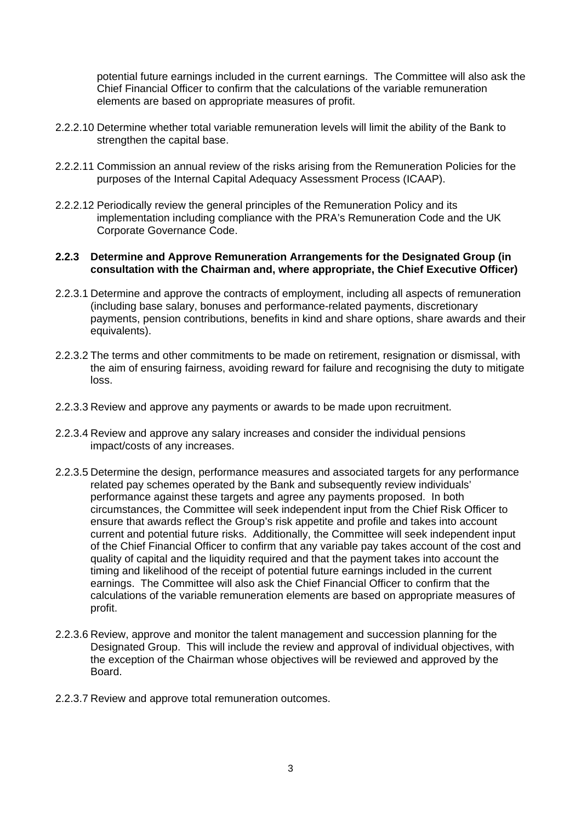potential future earnings included in the current earnings. The Committee will also ask the Chief Financial Officer to confirm that the calculations of the variable remuneration elements are based on appropriate measures of profit.

- 2.2.2.10 Determine whether total variable remuneration levels will limit the ability of the Bank to strengthen the capital base.
- 2.2.2.11 Commission an annual review of the risks arising from the Remuneration Policies for the purposes of the Internal Capital Adequacy Assessment Process (ICAAP).
- 2.2.2.12 Periodically review the general principles of the Remuneration Policy and its implementation including compliance with the PRA's Remuneration Code and the UK Corporate Governance Code.

#### **2.2.3 Determine and Approve Remuneration Arrangements for the Designated Group (in consultation with the Chairman and, where appropriate, the Chief Executive Officer)**

- 2.2.3.1 Determine and approve the contracts of employment, including all aspects of remuneration (including base salary, bonuses and performance-related payments, discretionary payments, pension contributions, benefits in kind and share options, share awards and their equivalents).
- 2.2.3.2 The terms and other commitments to be made on retirement, resignation or dismissal, with the aim of ensuring fairness, avoiding reward for failure and recognising the duty to mitigate loss.
- 2.2.3.3 Review and approve any payments or awards to be made upon recruitment.
- 2.2.3.4 Review and approve any salary increases and consider the individual pensions impact/costs of any increases.
- 2.2.3.5 Determine the design, performance measures and associated targets for any performance related pay schemes operated by the Bank and subsequently review individuals' performance against these targets and agree any payments proposed. In both circumstances, the Committee will seek independent input from the Chief Risk Officer to ensure that awards reflect the Group's risk appetite and profile and takes into account current and potential future risks. Additionally, the Committee will seek independent input of the Chief Financial Officer to confirm that any variable pay takes account of the cost and quality of capital and the liquidity required and that the payment takes into account the timing and likelihood of the receipt of potential future earnings included in the current earnings. The Committee will also ask the Chief Financial Officer to confirm that the calculations of the variable remuneration elements are based on appropriate measures of profit.
- 2.2.3.6 Review, approve and monitor the talent management and succession planning for the Designated Group. This will include the review and approval of individual objectives, with the exception of the Chairman whose objectives will be reviewed and approved by the Board.
- 2.2.3.7 Review and approve total remuneration outcomes.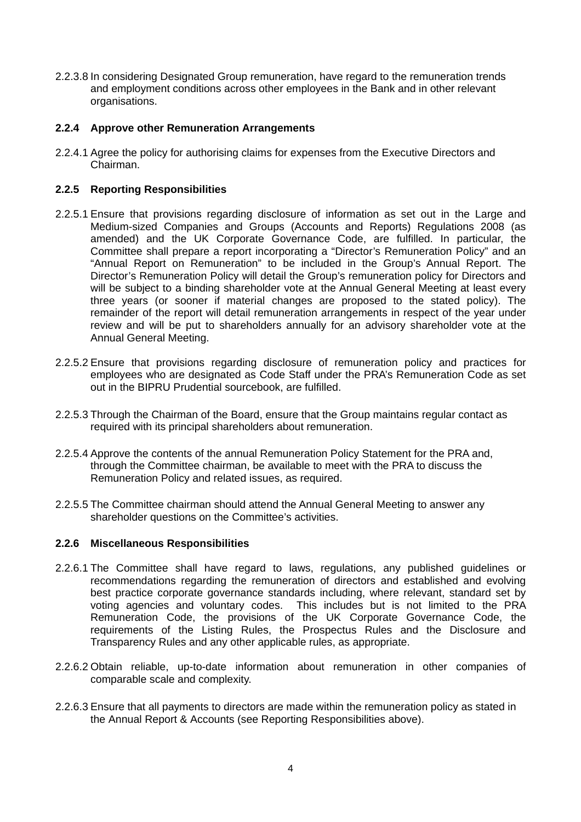2.2.3.8 In considering Designated Group remuneration, have regard to the remuneration trends and employment conditions across other employees in the Bank and in other relevant organisations.

## **2.2.4 Approve other Remuneration Arrangements**

2.2.4.1 Agree the policy for authorising claims for expenses from the Executive Directors and Chairman.

#### **2.2.5 Reporting Responsibilities**

- 2.2.5.1 Ensure that provisions regarding disclosure of information as set out in the Large and Medium-sized Companies and Groups (Accounts and Reports) Regulations 2008 (as amended) and the UK Corporate Governance Code, are fulfilled. In particular, the Committee shall prepare a report incorporating a "Director's Remuneration Policy" and an "Annual Report on Remuneration" to be included in the Group's Annual Report. The Director's Remuneration Policy will detail the Group's remuneration policy for Directors and will be subject to a binding shareholder vote at the Annual General Meeting at least every three years (or sooner if material changes are proposed to the stated policy). The remainder of the report will detail remuneration arrangements in respect of the year under review and will be put to shareholders annually for an advisory shareholder vote at the Annual General Meeting.
- 2.2.5.2 Ensure that provisions regarding disclosure of remuneration policy and practices for employees who are designated as Code Staff under the PRA's Remuneration Code as set out in the BIPRU Prudential sourcebook, are fulfilled.
- 2.2.5.3 Through the Chairman of the Board, ensure that the Group maintains regular contact as required with its principal shareholders about remuneration.
- 2.2.5.4 Approve the contents of the annual Remuneration Policy Statement for the PRA and, through the Committee chairman, be available to meet with the PRA to discuss the Remuneration Policy and related issues, as required.
- 2.2.5.5 The Committee chairman should attend the Annual General Meeting to answer any shareholder questions on the Committee's activities.

#### **2.2.6 Miscellaneous Responsibilities**

- 2.2.6.1 The Committee shall have regard to laws, regulations, any published guidelines or recommendations regarding the remuneration of directors and established and evolving best practice corporate governance standards including, where relevant, standard set by voting agencies and voluntary codes. This includes but is not limited to the PRA Remuneration Code, the provisions of the UK Corporate Governance Code, the requirements of the Listing Rules, the Prospectus Rules and the Disclosure and Transparency Rules and any other applicable rules, as appropriate.
- 2.2.6.2 Obtain reliable, up-to-date information about remuneration in other companies of comparable scale and complexity.
- 2.2.6.3 Ensure that all payments to directors are made within the remuneration policy as stated in the Annual Report & Accounts (see Reporting Responsibilities above).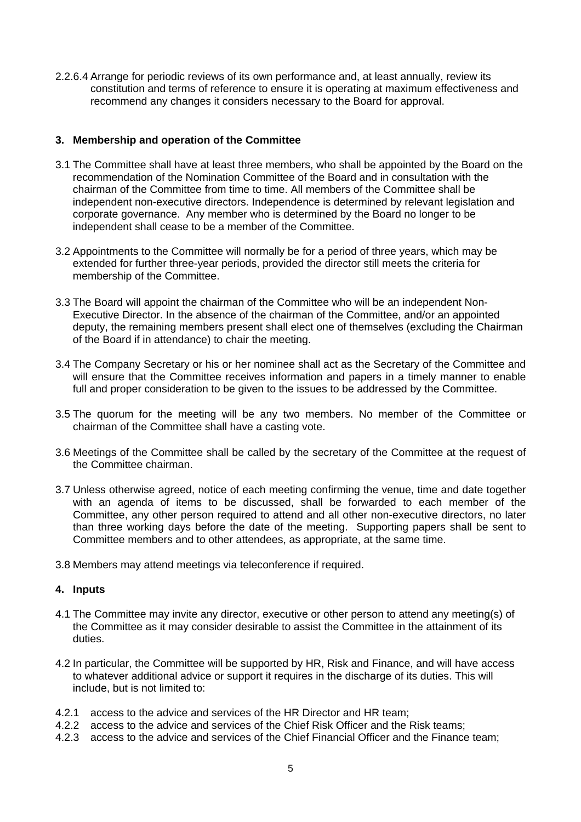2.2.6.4 Arrange for periodic reviews of its own performance and, at least annually, review its constitution and terms of reference to ensure it is operating at maximum effectiveness and recommend any changes it considers necessary to the Board for approval.

## **3. Membership and operation of the Committee**

- 3.1 The Committee shall have at least three members, who shall be appointed by the Board on the recommendation of the Nomination Committee of the Board and in consultation with the chairman of the Committee from time to time. All members of the Committee shall be independent non-executive directors. Independence is determined by relevant legislation and corporate governance. Any member who is determined by the Board no longer to be independent shall cease to be a member of the Committee.
- 3.2 Appointments to the Committee will normally be for a period of three years, which may be extended for further three-year periods, provided the director still meets the criteria for membership of the Committee.
- 3.3 The Board will appoint the chairman of the Committee who will be an independent Non-Executive Director. In the absence of the chairman of the Committee, and/or an appointed deputy, the remaining members present shall elect one of themselves (excluding the Chairman of the Board if in attendance) to chair the meeting.
- 3.4 The Company Secretary or his or her nominee shall act as the Secretary of the Committee and will ensure that the Committee receives information and papers in a timely manner to enable full and proper consideration to be given to the issues to be addressed by the Committee.
- 3.5 The quorum for the meeting will be any two members. No member of the Committee or chairman of the Committee shall have a casting vote.
- 3.6 Meetings of the Committee shall be called by the secretary of the Committee at the request of the Committee chairman.
- 3.7 Unless otherwise agreed, notice of each meeting confirming the venue, time and date together with an agenda of items to be discussed, shall be forwarded to each member of the Committee, any other person required to attend and all other non-executive directors, no later than three working days before the date of the meeting. Supporting papers shall be sent to Committee members and to other attendees, as appropriate, at the same time.
- 3.8 Members may attend meetings via teleconference if required.

## **4. Inputs**

- 4.1 The Committee may invite any director, executive or other person to attend any meeting(s) of the Committee as it may consider desirable to assist the Committee in the attainment of its duties.
- 4.2 In particular, the Committee will be supported by HR, Risk and Finance, and will have access to whatever additional advice or support it requires in the discharge of its duties. This will include, but is not limited to:
- 4.2.1 access to the advice and services of the HR Director and HR team;
- 4.2.2 access to the advice and services of the Chief Risk Officer and the Risk teams;
- 4.2.3 access to the advice and services of the Chief Financial Officer and the Finance team;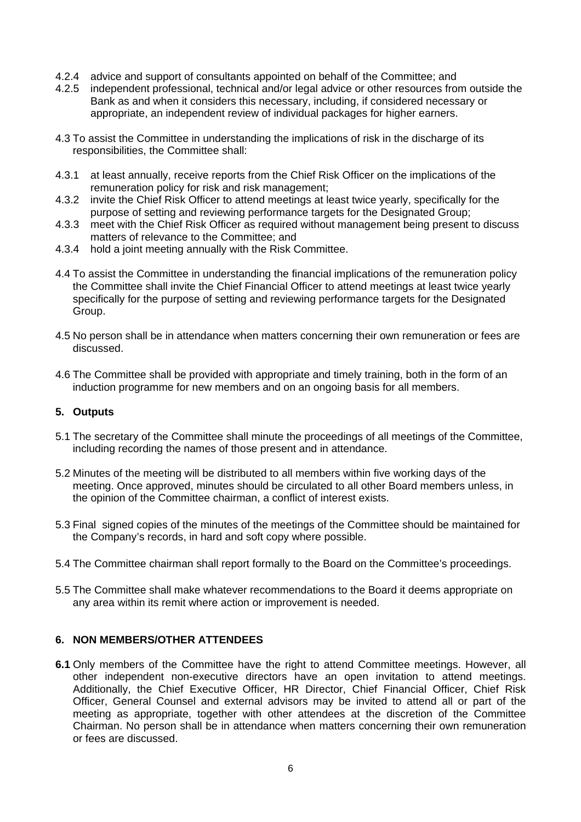- 4.2.4 advice and support of consultants appointed on behalf of the Committee; and
- 4.2.5 independent professional, technical and/or legal advice or other resources from outside the Bank as and when it considers this necessary, including, if considered necessary or appropriate, an independent review of individual packages for higher earners.
- 4.3 To assist the Committee in understanding the implications of risk in the discharge of its responsibilities, the Committee shall:
- 4.3.1 at least annually, receive reports from the Chief Risk Officer on the implications of the remuneration policy for risk and risk management;
- 4.3.2 invite the Chief Risk Officer to attend meetings at least twice yearly, specifically for the purpose of setting and reviewing performance targets for the Designated Group;
- 4.3.3 meet with the Chief Risk Officer as required without management being present to discuss matters of relevance to the Committee; and
- 4.3.4 hold a joint meeting annually with the Risk Committee.
- 4.4 To assist the Committee in understanding the financial implications of the remuneration policy the Committee shall invite the Chief Financial Officer to attend meetings at least twice yearly specifically for the purpose of setting and reviewing performance targets for the Designated Group.
- 4.5 No person shall be in attendance when matters concerning their own remuneration or fees are discussed.
- 4.6 The Committee shall be provided with appropriate and timely training, both in the form of an induction programme for new members and on an ongoing basis for all members.

## **5. Outputs**

- 5.1 The secretary of the Committee shall minute the proceedings of all meetings of the Committee, including recording the names of those present and in attendance.
- 5.2 Minutes of the meeting will be distributed to all members within five working days of the meeting. Once approved, minutes should be circulated to all other Board members unless, in the opinion of the Committee chairman, a conflict of interest exists.
- 5.3 Final signed copies of the minutes of the meetings of the Committee should be maintained for the Company's records, in hard and soft copy where possible.
- 5.4 The Committee chairman shall report formally to the Board on the Committee's proceedings.
- 5.5 The Committee shall make whatever recommendations to the Board it deems appropriate on any area within its remit where action or improvement is needed.

## **6. NON MEMBERS/OTHER ATTENDEES**

**6.1** Only members of the Committee have the right to attend Committee meetings. However, all other independent non-executive directors have an open invitation to attend meetings. Additionally, the Chief Executive Officer, HR Director, Chief Financial Officer, Chief Risk Officer, General Counsel and external advisors may be invited to attend all or part of the meeting as appropriate, together with other attendees at the discretion of the Committee Chairman. No person shall be in attendance when matters concerning their own remuneration or fees are discussed.